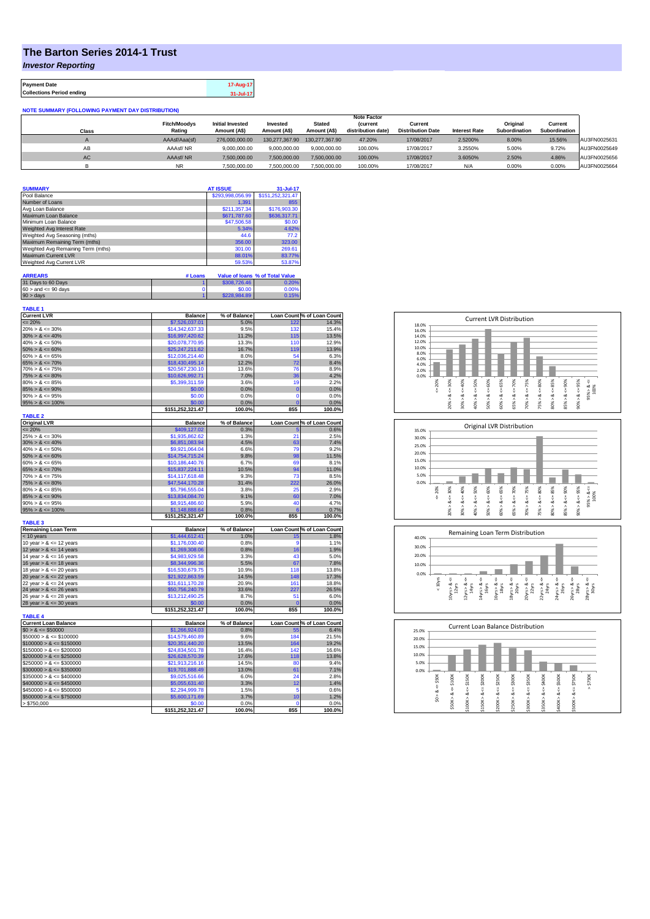## **The Barton Series 2014-1 Trust**

*Investor Reporting*

**Payment Date 17-Aug-17 Collections Period ending 31-Jul-17**

**NOTE SUMMARY (FOLLOWING PAYMENT DAY DISTRIBUTION)**

|           |                     |                         |                |                | <b>Note Factor</b> |                          |                      |               |               |              |
|-----------|---------------------|-------------------------|----------------|----------------|--------------------|--------------------------|----------------------|---------------|---------------|--------------|
|           | <b>Fitch/Moodys</b> | <b>Initial Invested</b> | Invested       | <b>Stated</b>  | <b>(current</b>    | Current                  |                      | Original      | Current       |              |
| Class     | Rating              | Amount (A\$)            | Amount (A\$)   | Amount (A\$)   | distribution date) | <b>Distribution Date</b> | <b>Interest Rate</b> | Subordination | Subordination |              |
|           | AAAsf/Aaa(sf)       | 276.000.000.00          | 130.277.367.90 | 130.277.367.90 | 47.20%             | 17/08/2017               | 2.5200%              | 8.00%         | 15.56%        | AU3FN0025631 |
| AB        | AAAsf/NR            | 9.000.000.00            | 9.000.000.00   | 9.000.000.00   | 100.00%            | 17/08/2017               | 3.2550%              | 5.00%         | 9.72%         | AU3FN0025649 |
| <b>AC</b> | AAAsf/NR            | 7.500.000.00            | 7.500.000.00   | 7.500.000.00   | 100.00%            | 17/08/2017               | 3.6050%              | 2.50%         | 4.86%         | AU3FN0025656 |
|           |                     | 7.500.000.00            | 7.500.000.00   | 7.500.000.00   | 100.00%            | 17/08/2017               | N/A                  | 0.00%         | 0.00%         | AU3FN0025664 |

| <b>SUMMARY</b>                     |         | <b>AT ISSUE</b>  | 31-Jul-17                       |
|------------------------------------|---------|------------------|---------------------------------|
| Pool Balance                       |         | \$293,998,056.99 | \$151,252,321.47                |
| Number of Loans                    |         | 1.391            | 855                             |
| Avg Loan Balance                   |         | \$211.357.34     | \$176,903.30                    |
| Maximum Loan Balance               |         | \$671,787.60     | \$636,317.71                    |
| Minimum Loan Balance               |         | \$47,506.58      | \$0.00                          |
| Weighted Avg Interest Rate         |         | 5.34%            | 4.62%                           |
| Weighted Avg Seasoning (mths)      |         | 44.6             | 77.2                            |
| Maximum Remaining Term (mths)      |         | 356.00           | 323.00                          |
| Weighted Avg Remaining Term (mths) |         | 301.00           | 269.61                          |
| Maximum Current LVR                |         | 88.01%           | 83.77%                          |
| Weighted Avg Current LVR           |         | 59.53%           | 53.87%                          |
| <b>ARREARS</b>                     | # Loans |                  | Value of Ioans % of Total Value |

| .                         |              |       |
|---------------------------|--------------|-------|
| 31 Days to 60 Days        | \$308,726.46 | 0.20% |
| $60 >$ and $\leq 90$ days | \$0.00       | 0.00% |
| $90 > \text{days}$        | \$228,984.89 | 0.15% |

| <b>TABLE 1</b><br><b>Current LVR</b> | <b>Balance</b>   | % of Balance |             | Loan Count % of Loan Count         |
|--------------------------------------|------------------|--------------|-------------|------------------------------------|
| $\leq$ 20%                           | \$7,526,037.01   | 5.0%         | 122         | 14.3%                              |
| $20\% > 8 \le 30\%$                  | \$14.342.637.33  | 9.5%         | 132         | 15.4%                              |
| $30\% > 8 \le 40\%$                  | \$16,997,420.62  | 11.2%        | 115         | 13.5%                              |
| $40\% > 8 \le 50\%$                  | \$20,078,770.95  | 13.3%        | 110         | 12.9%                              |
| $50\% > 8 \le 60\%$                  | \$25,247,211.62  | 16.7%        | 119         | 13.9%                              |
| $60\% > 8 \le 65\%$                  | \$12,036,214.40  | 8.0%         | 54          | 6.3%                               |
| $65\% > 8 \le 70\%$                  | \$18,430,495.14  | 12.2%        | 72          | 8.4%                               |
| $70\% > 8 \le 75\%$                  | \$20,567,230.10  | 13.6%        | 76          | 8.9%                               |
| $75\% > 8 \le 80\%$                  | \$10,626,992.71  | 7.0%         | 36          | 4.2%                               |
| $80\% > 8 \le 85\%$                  | \$5,399,311.59   | 3.6%         | 19          | 2.2%                               |
| $85\% > 8 \le 90\%$                  | \$0.00           | 0.0%         | $\bf{0}$    | 0.0%                               |
| $90\% > 8 \le 95\%$                  | \$0.00           | 0.0%         | 0           | 0.0%                               |
| $95\% > 8 \le 100\%$                 | \$0.00           | 0.0%         | r           | 0.0%                               |
|                                      | \$151,252,321.47 | 100.0%       | 855         | 100.0%                             |
| <b>TABLE 2</b>                       |                  |              |             |                                    |
| <b>Original LVR</b>                  | <b>Balance</b>   | % of Balance |             | Loan Count % of Loan Count         |
| $= 20%$                              | \$409,127.02     | 0.3%         | F           | 0.6%                               |
| $25\% > 8 \le 30\%$                  | \$1.935.862.62   | 1.3%         | 21          | 2.5%                               |
| $30\% > 8 \le 40\%$                  | \$6,851,083.94   | 4.5%         | 63          | 7.4%                               |
| $40\% > 8 \le 50\%$                  | \$9,921,064.04   | 6.6%         | 79          | 9.2%                               |
| $50\% > 8 \le 60\%$                  | \$14,754,715.24  | 9.8%         | 98          | 11.5%                              |
| $60\% > 8 \le 65\%$                  | \$10,186,440.76  | 6.7%         | 69          | 8.1%                               |
| $65\% > 8 \le 70\%$                  | \$15,837,224.11  | 10.5%        | 94          | 11.0%                              |
| $70\% > 8 \le 75\%$                  | \$14,117,618.48  | 9.3%         | 73          | 8.5%                               |
| $75\% > 8 \le 80\%$                  | \$47,544,170.28  | 31.4%        | 222         | 26.0%                              |
| $80\% > 8 \le 85\%$                  | \$5.796.555.04   | 3.8%         | 25          | 2.9%                               |
| $85\% > 8 \le 90\%$                  | \$13,834,084.70  | 9.1%         | 60          | 7.0%                               |
| $90\% > 8 \le 95\%$                  | \$8,915,486.60   | 5.9%         | 40          | 4.7%                               |
| $95\% > 8 \le 100\%$                 | \$1,148,888.64   | 0.8%         | 6           | 0.7%                               |
| <b>TABLE 3</b>                       | \$151,252,321.47 | 100.0%       | 855         | 100.0%                             |
| <b>Remaining Loan Term</b>           | <b>Balance</b>   | % of Balance |             |                                    |
| < 10 years                           | \$1,444,612.41   | 1.0%         | 15          | Loan Count % of Loan Count<br>1.8% |
| 10 year $> 8 \le 12$ years           | \$1,176,030.40   | 0.8%         | 9           | 1.1%                               |
| 12 year $> 8 \le 14$ years           | \$1,269,308.06   | 0.8%         | 16          | 1.9%                               |
| 14 year $> 8 \le 16$ years           | \$4,983,929.58   | 3.3%         | 43          | 5.0%                               |
| 16 year $> 8 \le 18$ years           | \$8,344,996.36   | 5.5%         | 67          | 7.8%                               |
| 18 year $> 8 \le 20$ years           | \$16,530,679.75  | 10.9%        | 118         | 13.8%                              |
| 20 year $> 8 \le 22$ years           | \$21,922,863.59  | 14.5%        | 148         | 17.3%                              |
| 22 year $> 8 \le 24$ years           | \$31,611,170.28  | 20.9%        | 161         | 18.8%                              |
| 24 year $> 8 \le 26$ years           | \$50,756,240.79  | 33.6%        | 227         | 26.5%                              |
| 26 year $> 8 \le 28$ years           | \$13,212,490.25  | 8.7%         | 51          | 6.0%                               |
| 28 year $> 8 \le 30$ years           | \$0.00           | 0.0%         | 0           | 0.0%                               |
|                                      | \$151,252,321.47 | 100.0%       | 855         | 100.0%                             |
| <b>TABLE 4</b>                       |                  |              |             |                                    |
| <b>Current Loan Balance</b>          | <b>Balance</b>   | % of Balance |             | Loan Count % of Loan Count         |
| $$0 > 8 \le $50000$                  | \$1,266,924.03   | 0.8%         | 55          | 6.4%                               |
| $$50000 > 8 \le $100000$             | \$14,579,460.89  | 9.6%         | 184         | 21.5%                              |
| $$100000 > 8 \leq $150000$           | \$20,351,440.20  | 13.5%        | 164         | 19.2%                              |
| $$150000 > 8 \leq $200000$           | \$24,834,501.78  | 16.4%        | 142         | 16.6%                              |
| $$200000 > 8 \leq $250000$           | \$26,628,570.39  | 17.6%        | 118         | 13.8%                              |
| $$250000 > 8 \leq $300000$           | \$21,913,216.16  | 14.5%        | 80          | 9.4%                               |
| $$300000 > 8 \leq $350000$           | \$19,701,888.49  | 13.0%        | 61          | 7.1%                               |
| $$350000 > 8 \leq $400000$           | \$9,025,516.66   | 6.0%         | 24          | 2.8%                               |
| $$400000 > 8 \le $450000$            | \$5,055,631.40   | 3.3%         | 12          | 1.4%                               |
| $$450000 > 8 \le $500000$            | \$2,294,999.78   | 1.5%         | 5           | 0.6%                               |
| $$500000 > 8 \le $750000$            | \$5,600,171.69   | 3.7%         | 10          | 1.2%                               |
| > \$750,000                          | \$0.00           | 0.0%         | $\mathbf 0$ | 0.0%                               |
|                                      | \$151,252,321.47 | 100.0%       | 855         | 100.0%                             |







| 25.0% |        |        |        |         | <b>Current Loan Balance Distribution</b> |         |        |         |        |         |          |
|-------|--------|--------|--------|---------|------------------------------------------|---------|--------|---------|--------|---------|----------|
| 20.0% |        |        |        |         |                                          |         |        |         |        |         |          |
| 15.0% |        |        |        |         |                                          |         |        |         |        |         |          |
| 10.0% |        |        |        |         |                                          |         |        |         |        |         |          |
| 5.0%  |        |        |        |         |                                          |         |        |         |        |         |          |
| 0.0%  |        |        |        |         |                                          |         |        |         |        |         |          |
|       | \$50K  | \$100K | \$150K | \$200K  | \$250K                                   | \$300K  | \$350K | \$400K  | \$500K | \$750K  | \$750K   |
|       | ű      | ő      | V      | IJ      | υ                                        | ű       | υ      | ÷,      | U      | ű       | $\wedge$ |
|       | ಯ<br>Δ | œ      | œ<br>Λ | ∞       | ಹ<br>Λ                                   | ∞       | œ      | ∞       | œ<br>Λ | ∞       |          |
|       | S.     | \$50K> | \$100K | \$150K> | \$200K                                   | \$250K> | \$300K | \$350K> | \$400K | \$500K> |          |
|       |        |        |        |         |                                          |         |        |         |        |         |          |